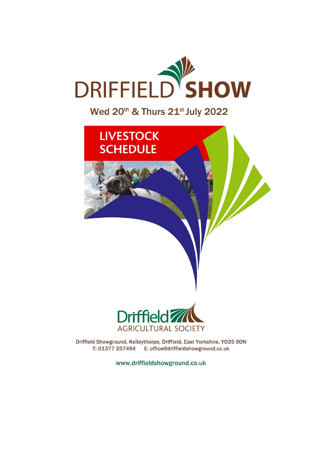

## Wed 20th & Thurs 21st July 2022



Driffield Showground, Kelleythorpe, Driffield, East Yorkshire, Y025 9DN T: 01377 257494 E: office@driffieldshowground.co.uk

www.driffieldshowground.co.uk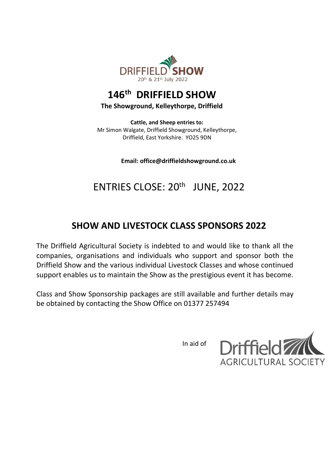

## **146 th DRIFFIELD SHOW**

#### **The Showground, Kelleythorpe, Driffield**

**Cattle, and Sheep entries to:** Mr Simon Walgate, Driffield Showground, Kelleythorpe, Driffield, East Yorkshire. YO25 9DN

**Email: office@driffieldshowground.co.uk**

# ENTRIES CLOSE: 20<sup>th</sup> JUNE, 2022

## **SHOW AND LIVESTOCK CLASS SPONSORS 2022**

The Driffield Agricultural Society is indebted to and would like to thank all the companies, organisations and individuals who support and sponsor both the Driffield Show and the various individual Livestock Classes and whose continued support enables us to maintain the Show as the prestigious event it has become.

Class and Show Sponsorship packages are still available and further details may be obtained by contacting the Show Office on 01377 257494

In aid of

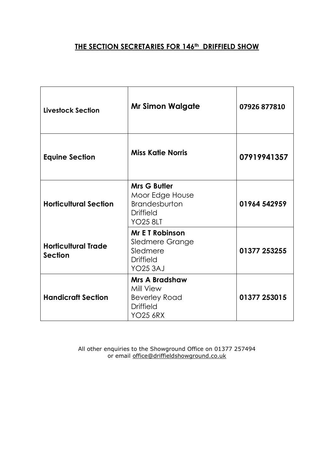#### **THE SECTION SECRETARIES FOR 146th DRIFFIELD SHOW**

| <b>Livestock Section</b>                     | <b>Mr Simon Walgate</b>                                                                               | 07926 877810 |
|----------------------------------------------|-------------------------------------------------------------------------------------------------------|--------------|
| <b>Equine Section</b>                        | <b>Miss Katie Norris</b>                                                                              | 07919941357  |
| <b>Horticultural Section</b>                 | <b>Mrs G Butler</b><br>Moor Edge House<br><b>Brandesburton</b><br><b>Driffield</b><br><b>YO25 8LT</b> | 01964 542959 |
| <b>Horticultural Trade</b><br><b>Section</b> | <b>Mr E T Robinson</b><br><b>Sledmere Grange</b><br>Sledmere<br><b>Driffield</b><br><b>YO25 3AJ</b>   | 01377 253255 |
| <b>Handicraft Section</b>                    | <b>Mrs A Bradshaw</b><br>Mill View<br><b>Beverley Road</b><br><b>Driffield</b><br><b>YO25 6RX</b>     | 01377 253015 |

All other enquiries to the Showground Office on 01377 257494 or email [office@driffieldshowground.co.uk](mailto:office@driffieldshowground.co.uk)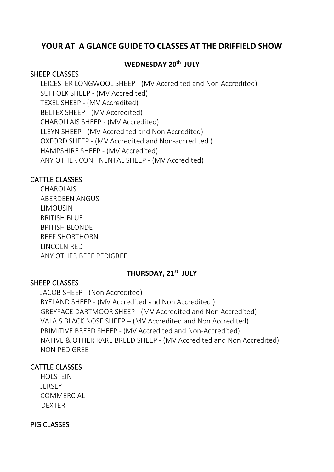## **YOUR AT A GLANCE GUIDE TO CLASSES AT THE DRIFFIELD SHOW**

## **WEDNESDAY 20 th JULY**

#### SHEEP CLASSES

LEICESTER LONGWOOL SHEEP - (MV Accredited and Non Accredited) SUFFOLK SHEEP - (MV Accredited) TEXEL SHEEP - (MV Accredited) BELTEX SHEEP - (MV Accredited) CHAROLLAIS SHEEP - (MV Accredited) LLEYN SHEEP - (MV Accredited and Non Accredited) OXFORD SHEEP - (MV Accredited and Non-accredited ) HAMPSHIRE SHEEP - (MV Accredited) ANY OTHER CONTINENTAL SHEEP - (MV Accredited)

#### CATTLE CLASSES

CHAROLAIS ABERDEEN ANGUS LIMOUSIN BRITISH BLUE BRITISH BLONDE BEEF SHORTHORN LINCOLN RED ANY OTHER BEEF PEDIGREE

#### **THURSDAY, 21st JULY**

#### SHEEP CLASSES

JACOB SHEEP - (Non Accredited) RYELAND SHEEP - (MV Accredited and Non Accredited ) GREYFACE DARTMOOR SHEEP - (MV Accredited and Non Accredited) VALAIS BLACK NOSE SHEEP – (MV Accredited and Non Accredited) PRIMITIVE BREED SHEEP - (MV Accredited and Non-Accredited) NATIVE & OTHER RARE BREED SHEEP - (MV Accredited and Non Accredited) NON PEDIGREE

#### CATTLE CLASSES

HOLSTEIN **JERSEY** COMMERCIAL **DEXTER** 

#### PIG CLASSES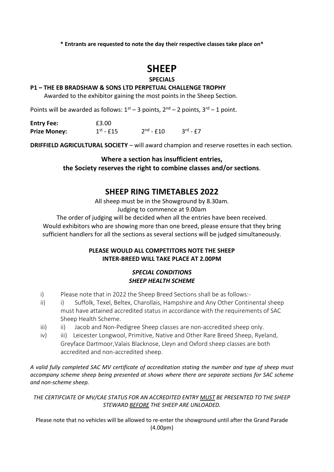## **SHEEP**

#### **SPECIALS**

#### **P1 – THE EB BRADSHAW & SONS LTD PERPETUAL CHALLENGE TROPHY**

Awarded to the exhibitor gaining the most points in the Sheep Section.

Points will be awarded as follows:  $1^{st}$  – 3 points,  $2^{nd}$  – 2 points,  $3^{rd}$  – 1 point.

| <b>Entry Fee:</b>   | £3.00               |                                      |                      |
|---------------------|---------------------|--------------------------------------|----------------------|
| <b>Prize Money:</b> | $1^\text{st}$ - £15 | $2^{\text{nd}}$ - $\text{\pounds}10$ | $3^{\text{rd}}$ - £7 |

**DRIFFIELD AGRICULTURAL SOCIETY** – will award champion and reserve rosettes in each section.

**Where a section has insufficient entries, the Society reserves the right to combine classes and/or sections**.

#### **SHEEP RING TIMETABLES 2022**

All sheep must be in the Showground by 8.30am.

Judging to commence at 9.00am

The order of judging will be decided when all the entries have been received. Would exhibitors who are showing more than one breed, please ensure that they bring sufficient handlers for all the sections as several sections will be judged simultaneously.

#### **PLEASE WOULD ALL COMPETITORS NOTE THE SHEEP INTER-BREED WILL TAKE PLACE AT 2.00PM**

#### *SPECIAL CONDITIONS SHEEP HEALTH SCHEME*

- i) Please note that in 2022 the Sheep Breed Sections shall be as follows:-
- ii) i) Suffolk, Texel, Beltex, Charollais, Hampshire and Any Other Continental sheep must have attained accredited status in accordance with the requirements of SAC Sheep Health Scheme.
- iii) ii) Jacob and Non-Pedigree Sheep classes are non-accredited sheep only.
- iv) iii) Leicester Longwool, Primitive, Native and Other Rare Breed Sheep, Ryeland, Greyface Dartmoor,Valais Blacknose, Lleyn and Oxford sheep classes are both accredited and non-accredited sheep.

*A valid fully completed SAC MV certificate of accreditation stating the number and type of sheep must accompany scheme sheep being presented at shows where there are separate sections for SAC scheme and non-scheme sheep.*

*THE CERTIFCIATE OF MV/CAE STATUS FOR AN ACCREDITED ENTRY MUST BE PRESENTED TO THE SHEEP STEWARD BEFORE THE SHEEP ARE UNLOADED.*

Please note that no vehicles will be allowed to re-enter the showground until after the Grand Parade (4.00pm)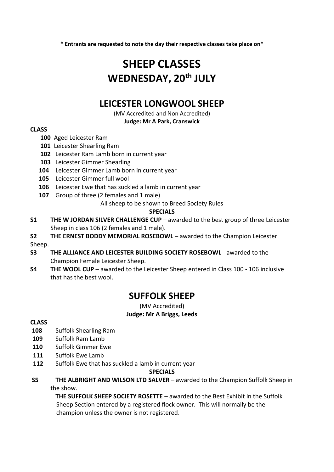# **SHEEP CLASSES WEDNESDAY, 20 th JULY**

## **LEICESTER LONGWOOL SHEEP**

(MV Accredited and Non Accredited)

**Judge: Mr A Park, Cranswick**

#### **CLASS**

- **100** Aged Leicester Ram
- **101** Leicester Shearling Ram
- **102** Leicester Ram Lamb born in current year
- **103** Leicester Gimmer Shearling
- **104** Leicester Gimmer Lamb born in current year
- **105** Leicester Gimmer full wool
- **106** Leicester Ewe that has suckled a lamb in current year
- **107** Group of three (2 females and 1 male)

All sheep to be shown to Breed Society Rules

#### **SPECIALS**

- **S1 THE W JORDAN SILVER CHALLENGE CUP** awarded to the best group of three Leicester Sheep in class 106 (2 females and 1 male).
- **S2 THE ERNEST BODDY MEMORIAL ROSEBOWL** awarded to the Champion Leicester Sheep.
- **S3 THE ALLIANCE AND LEICESTER BUILDING SOCIETY ROSEBOWL** awarded to the Champion Female Leicester Sheep.
- **S4 THE WOOL CUP** awarded to the Leicester Sheep entered in Class 100 106 inclusive that has the best wool.

## **SUFFOLK SHEEP**

(MV Accredited) **Judge: Mr A Briggs, Leeds**

#### **CLASS**

- **108** Suffolk Shearling Ram
- **109** Suffolk Ram Lamb
- **110** Suffolk Gimmer Ewe
- **111** Suffolk Ewe Lamb
- **112** Suffolk Ewe that has suckled a lamb in current year

#### **SPECIALS**

**S5 THE ALBRIGHT AND WILSON LTD SALVER** – awarded to the Champion Suffolk Sheep in the show.

**THE SUFFOLK SHEEP SOCIETY ROSETTE** – awarded to the Best Exhibit in the Suffolk Sheep Section entered by a registered flock owner. This will normally be the champion unless the owner is not registered.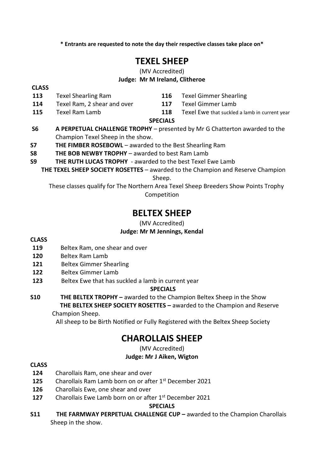## **TEXEL SHEEP**

#### (MV Accredited) **Judge: Mr M Ireland, Clitheroe**

**CLASS**

- **113** Texel Shearling Ram **116** Texel Gimmer Shearling
- **114** Texel Ram, 2 shear and over **117** Texel Gimmer Lamb
- **115** Texel Ram Lamb **118** Texel Ewe that suckled a lamb in current year

## **SPECIALS**

- **S6 A PERPETUAL CHALLENGE TROPHY** presented by Mr G Chatterton awarded to the Champion Texel Sheep in the show.
- **S7 THE FIMBER ROSEBOWL**  awarded to the Best Shearling Ram
- **S8 THE BOB NEWBY TROPHY**  awarded to best Ram Lamb
- **S9 THE RUTH LUCAS TROPHY** awarded to the best Texel Ewe Lamb
	- **THE TEXEL SHEEP SOCIETY ROSETTES** awarded to the Champion and Reserve Champion Sheep.

 These classes qualify for The Northern Area Texel Sheep Breeders Show Points Trophy Competition

## **BELTEX SHEEP**

(MV Accredited)

#### **Judge: Mr M Jennings, Kendal**

#### **CLASS**

- **119** Beltex Ram, one shear and over
- **120** Beltex Ram Lamb
- **121** Beltex Gimmer Shearling
- **122** Beltex Gimmer Lamb
- **123** Beltex Ewe that has suckled a lamb in current year

#### **SPECIALS**

**S10 THE BELTEX TROPHY –** awarded to the Champion Beltex Sheep in the Show  **THE BELTEX SHEEP SOCIETY ROSETTES –** awarded to the Champion and Reserve

Champion Sheep.

All sheep to be Birth Notified or Fully Registered with the Beltex Sheep Society

## **CHAROLLAIS SHEEP**

(MV Accredited)

#### **Judge: Mr J Aiken, Wigton**

#### **CLASS**

- **124** Charollais Ram, one shear and over
- **125** Charollais Ram Lamb born on or after 1st December 2021
- **126** Charollais Ewe, one shear and over
- **127** Charollais Ewe Lamb born on or after 1st December 2021

#### **SPECIALS**

**S11 THE FARMWAY PERPETUAL CHALLENGE CUP –** awarded to the Champion Charollais Sheep in the show.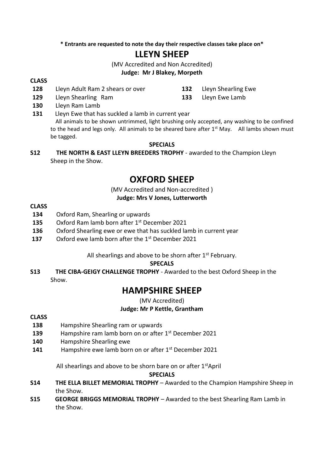## **LLEYN SHEEP**

(MV Accredited and Non Accredited)

#### **Judge: Mr J Blakey, Morpeth**

#### **CLASS**

- **128** Lleyn Adult Ram 2 shears or over **132** Lleyn Shearling Ewe
	-
- **129** Lleyn Shearling Ram **133** Lleyn Ewe Lamb **130** Lleyn Ram Lamb
- **131** Lleyn Ewe that has suckled a lamb in current year All animals to be shown untrimmed, light brushing only accepted, any washing to be confined to the head and legs only. All animals to be sheared bare after  $1<sup>st</sup>$  May. All lambs shown must be tagged.

#### **SPECIALS**

**S12 THE NORTH & EAST LLEYN BREEDERS TROPHY** - awarded to the Champion Lleyn Sheep in the Show.

## **OXFORD SHEEP**

(MV Accredited and Non-accredited ) **Judge: Mrs V Jones, Lutterworth**

#### **CLASS**

- **134** Oxford Ram, Shearling or upwards
- **135** Oxford Ram lamb born after 1st December 2021
- **136** Oxford Shearling ewe or ewe that has suckled lamb in current year
- **137** Oxford ewe lamb born after the 1st December 2021

All shearlings and above to be shorn after  $1<sup>st</sup>$  February.

**SPECALS**

**S13 THE CIBA-GEIGY CHALLENGE TROPHY** - Awarded to the best Oxford Sheep in the Show.

## **HAMPSHIRE SHEEP**

(MV Accredited)

#### **Judge: Mr P Kettle, Grantham**

#### **CLASS**

- **138** Hampshire Shearling ram or upwards
- **139** Hampshire ram lamb born on or after 1st December 2021
- **140** Hampshire Shearling ewe
- **141** Hampshire ewe lamb born on or after 1st December 2021

All shearlings and above to be shorn bare on or after  $1<sup>st</sup>$ April

#### **SPECIALS**

- **S14 THE ELLA BILLET MEMORIAL TROPHY** Awarded to the Champion Hampshire Sheep in the Show.
- **S15 GEORGE BRIGGS MEMORIAL TROPHY**  Awarded to the best Shearling Ram Lamb in the Show.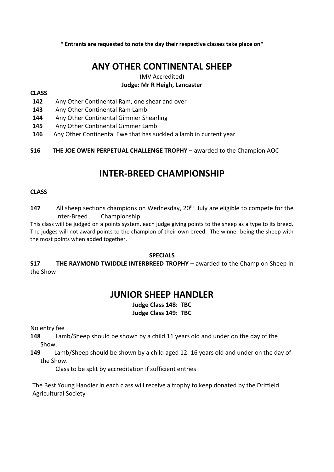## **ANY OTHER CONTINENTAL SHEEP**

## (MV Accredited)

#### **Judge: Mr R Heigh, Lancaster**

#### **CLASS**

- **142** Any Other Continental Ram, one shear and over
- **143** Any Other Continental Ram Lamb
- **144** Any Other Continental Gimmer Shearling
- **145** Any Other Continental Gimmer Lamb
- **146** Any Other Continental Ewe that has suckled a lamb in current year
- **S16 THE JOE OWEN PERPETUAL CHALLENGE TROPHY**  awarded to the Champion AOC

## **INTER-BREED CHAMPIONSHIP**

#### **CLASS**

147 All sheep sections champions on Wednesday, 20<sup>th</sup> July are eligible to compete for the Inter-Breed Championship.

This class will be judged on a points system, each judge giving points to the sheep as a type to its breed. The judges will not award points to the champion of their own breed. The winner being the sheep with the most points when added together.

#### **SPECIALS**

**S17 THE RAYMOND TWIDDLE INTERBREED TROPHY** – awarded to the Champion Sheep in the Show

## **JUNIOR SHEEP HANDLER**

#### **Judge Class 148: TBC Judge Class 149: TBC**

No entry fee

**148** Lamb/Sheep should be shown by a child 11 years old and under on the day of the Show.

**149** Lamb/Sheep should be shown by a child aged 12- 16 years old and under on the day of the Show.

Class to be split by accreditation if sufficient entries

The Best Young Handler in each class will receive a trophy to keep donated by the Driffield Agricultural Society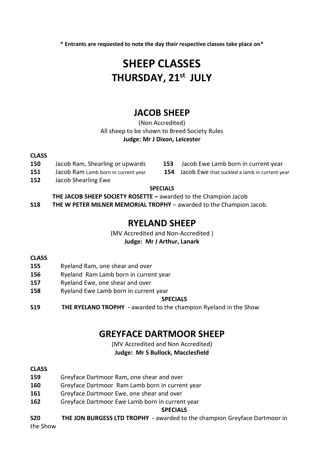# **SHEEP CLASSES THURSDAY, 21st JULY**

## **JACOB SHEEP**

(Non Accredited) All sheep to be shown to Breed Society Rules **Judge: Mr J Dixon, Leicester**

#### **CLASS**

- 
- 
- **152** Jacob Shearling Ewe
- **150** Jacob Ram, Shearling or upwards **153** Jacob Ewe Lamb born in current year

**151** Jacob Ram Lamb born in current year **154** Jacob Ewe that suckled a lamb in current year

#### **SPECIALS**

**THE JACOB SHEEP SOCIETY ROSETTE –** awarded to the Champion Jacob

**S18 THE W PETER MILNER MEMORIAL TROPHY** – awarded to the Champion Jacob.

## **RYELAND SHEEP**

(MV Accredited and Non-Accredited )

#### **Judge: Mr J Arthur, Lanark**

#### **CLASS**

- **155** Ryeland Ram, one shear and over
- **156** Ryeland Ram Lamb born in current year
- **157** Ryeland Ewe, one shear and over
- **158** Ryeland Ewe Lamb born in current year

#### **SPECIALS**

**S19 THE RYELAND TROPHY -** awarded to the champion Ryeland in the Show

## **GREYFACE DARTMOOR SHEEP**

## (MV Accredited and Non Accredited)

#### **Judge: Mr S Bullock, Macclesfield**

#### **CLASS**

- **159** Greyface Dartmoor Ram, one shear and over
- **160** Greyface Dartmoor Ram Lamb born in current year
- **161** Greyface Dartmoor Ewe, one shear and over
- **162** Greyface Dartmoor Ewe Lamb born in current year

#### **SPECIALS**

**S20 THE JON BURGESS LTD TROPHY -** awarded to the champion Greyface Dartmoor in

the Show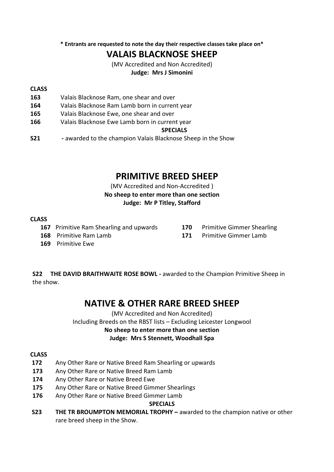## **VALAIS BLACKNOSE SHEEP**

(MV Accredited and Non Accredited)

#### **Judge: Mrs J Simonini**

#### **CLASS**

- **163** Valais Blacknose Ram, one shear and over
- **164** Valais Blacknose Ram Lamb born in current year
- **165** Valais Blacknose Ewe, one shear and over
- **166** Valais Blacknose Ewe Lamb born in current year

#### **SPECIALS**

**S21** - awarded to the champion Valais Blacknose Sheep in the Show

## **PRIMITIVE BREED SHEEP**

(MV Accredited and Non-Accredited )

**No sheep to enter more than one section Judge: Mr P Titley, Stafford**

## **CLASS**

- **167** Primitive Ram Shearling and upwards **170** Primitive Gimmer Shearling
	-
- **168** Primitive Ram Lamb **171** Primitive Gimmer Lamb
- **169** Primitive Ewe

**S22 THE DAVID BRAITHWAITE ROSE BOWL -** awarded to the Champion Primitive Sheep in the show.

## **NATIVE & OTHER RARE BREED SHEEP**

(MV Accredited and Non Accredited)

Including Breeds on the RBST lists – Excluding Leicester Longwool **No sheep to enter more than one section Judge: Mrs S Stennett, Woodhall Spa**

#### **CLASS**

- **172** Any Other Rare or Native Breed Ram Shearling or upwards
- **173** Any Other Rare or Native Breed Ram Lamb
- **174** Any Other Rare or Native Breed Ewe
- **175** Any Other Rare or Native Breed Gimmer Shearlings
- **176** Any Other Rare or Native Breed Gimmer Lamb

#### **SPECIALS**

**S23 THE TR BROUMPTON MEMORIAL TROPHY –** awarded to the champion native or other rare breed sheep in the Show.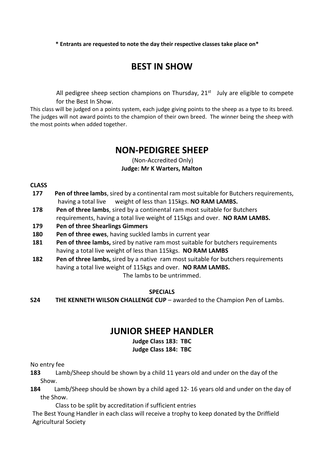## **BEST IN SHOW**

All pedigree sheep section champions on Thursday, 21<sup>st</sup> July are eligible to compete for the Best In Show.

This class will be judged on a points system, each judge giving points to the sheep as a type to its breed. The judges will not award points to the champion of their own breed. The winner being the sheep with the most points when added together.

## **NON-PEDIGREE SHEEP**

(Non-Accredited Only) **Judge: Mr K Warters, Malton**

**CLASS**

- **177 Pen of three lambs**, sired by a continental ram most suitable for Butchers requirements, having a total live weight of less than 115kgs. **NO RAM LAMBS.**
- **178 Pen of three lambs**, sired by a continental ram most suitable for Butchers requirements, having a total live weight of 115kgs and over. **NO RAM LAMBS.**
- **179 Pen of three Shearlings Gimmers**
- **180 Pen of three ewes**, having suckled lambs in current year
- **181 Pen of three lambs,** sired by native ram most suitable for butchers requirements having a total live weight of less than 115kgs. **NO RAM LAMBS**
- **182 Pen of three lambs,** sired by a native ram most suitable for butchers requirements having a total live weight of 115kgs and over. **NO RAM LAMBS.**

The lambs to be untrimmed.

#### **SPECIALS**

**S24 THE KENNETH WILSON CHALLENGE CUP** – awarded to the Champion Pen of Lambs.

## **JUNIOR SHEEP HANDLER**

#### **Judge Class 183: TBC**

#### **Judge Class 184: TBC**

No entry fee

- **183** Lamb/Sheep should be shown by a child 11 years old and under on the day of the Show.
- **184** Lamb/Sheep should be shown by a child aged 12- 16 years old and under on the day of the Show.

Class to be split by accreditation if sufficient entries

The Best Young Handler in each class will receive a trophy to keep donated by the Driffield Agricultural Society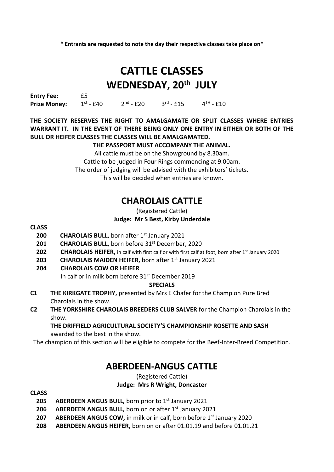# **CATTLE CLASSES WEDNESDAY, 20 th JULY**

**Entry Fee:** £5 **Prize Money:**  $st - £40$  2 <sup>nd</sup> - £20 3  $rd - £15$  4  $^{\text{TH}}$  - £10

#### **THE SOCIETY RESERVES THE RIGHT TO AMALGAMATE OR SPLIT CLASSES WHERE ENTRIES WARRANT IT. IN THE EVENT OF THERE BEING ONLY ONE ENTRY IN EITHER OR BOTH OF THE BULL OR HEIFER CLASSES THE CLASSES WILL BE AMALGAMATED.**

#### **THE PASSPORT MUST ACCOMPANY THE ANIMAL.**

All cattle must be on the Showground by 8.30am. Cattle to be judged in Four Rings commencing at 9.00am. The order of judging will be advised with the exhibitors' tickets. This will be decided when entries are known.

## **CHAROLAIS CATTLE**

#### (Registered Cattle) **Judge: Mr S Best, Kirby Underdale**

#### **CLASS**

- 200 CHAROLAIS BULL, born after 1<sup>st</sup> January 2021
- **201 CHAROLAIS BULL,** born before 31<sup>st</sup> December, 2020
- **202 CHAROLAIS HEIFER,** in calf with first calf or with first calf at foot, born after 1<sup>st</sup> January 2020
- **203 CHAROLAIS MAIDEN HEIFER,** born after 1st January 2021
- **204 CHAROLAIS COW OR HEIFER**

In calf or in milk born before 31st December 2019

#### **SPECIALS**

- **C1 THE KIRKGATE TROPHY,** presented by Mrs E Chafer for the Champion Pure Bred Charolais in the show.
- **C2 THE YORKSHIRE CHAROLAIS BREEDERS CLUB SALVER** for the Champion Charolais in the show.

#### **THE DRIFFIELD AGRICULTURAL SOCIETY'S CHAMPIONSHIP ROSETTE AND SASH** – awarded to the best in the show.

The champion of this section will be eligible to compete for the Beef-Inter-Breed Competition.

## **ABERDEEN-ANGUS CATTLE**

#### (Registered Cattle) **Judge: Mrs R Wright, Doncaster**

#### **CLASS**

- **205 ABERDEEN ANGUS BULL,** born prior to 1st January 2021
- **206 ABERDEEN ANGUS BULL,** born on or after 1st January 2021
- **207 ABERDEEN ANGUS COW, in milk or in calf, born before 1st January 2020**
- **208 ABERDEEN ANGUS HEIFER,** born on or after 01.01.19 and before 01.01.21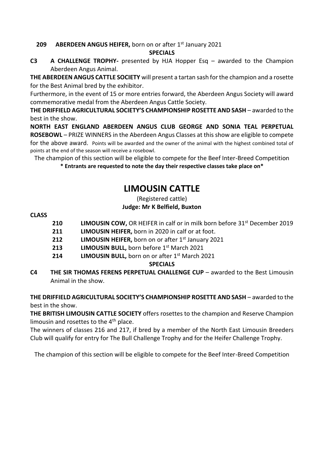#### **209 •• ABERDEEN ANGUS HEIFER,** born on or after 1st January 2021

#### **SPECIALS**

**C3 A CHALLENGE TROPHY-** presented by HJA Hopper Esq – awarded to the Champion Aberdeen Angus Animal.

**THE ABERDEEN ANGUS CATTLE SOCIETY** will present a tartan sash for the champion and a rosette for the Best Animal bred by the exhibitor.

Furthermore, in the event of 15 or more entries forward, the Aberdeen Angus Society will award commemorative medal from the Aberdeen Angus Cattle Society.

**THE DRIFFIELD AGRICULTURAL SOCIETY'S CHAMPIONSHIP ROSETTE AND SASH** – awarded to the best in the show.

**NORTH EAST ENGLAND ABERDEEN ANGUS CLUB GEORGE AND SONIA TEAL PERPETUAL ROSEBOWL** – PRIZE WINNERS in the Aberdeen Angus Classes at this show are eligible to compete for the above award. Points will be awarded and the owner of the animal with the highest combined total of points at the end of the season will receive a rosebowl.

The champion of this section will be eligible to compete for the Beef Inter-Breed Competition **\* Entrants are requested to note the day their respective classes take place on\***

## **LIMOUSIN CATTLE**

#### (Registered cattle) **Judge: Mr K Belfield, Buxton**

#### **CLASS**

- **210 LIMOUSIN COW,** OR HEIFER in calf or in milk born before 31<sup>st</sup> December 2019
- **211 LIMOUSIN HEIFER,** born in 2020 in calf or at foot.
- **212 LIMOUSIN HEIFER,** born on or after 1<sup>st</sup> January 2021
- **213 LIMOUSIN BULL,** born before 1st March 2021
- **214 LIMOUSIN BULL,** born on or after 1st March 2021

#### **SPECIALS**

**C4 THE SIR THOMAS FERENS PERPETUAL CHALLENGE CUP** – awarded to the Best Limousin Animal in the show.

**THE DRIFFIELD AGRICULTURAL SOCIETY'S CHAMPIONSHIP ROSETTE AND SASH** – awarded to the best in the show.

**THE BRITISH LIMOUSIN CATTLE SOCIETY** offers rosettes to the champion and Reserve Champion limousin and rosettes to the  $4<sup>th</sup>$  place.

The winners of classes 216 and 217, if bred by a member of the North East Limousin Breeders Club will qualify for entry for The Bull Challenge Trophy and for the Heifer Challenge Trophy.

The champion of this section will be eligible to compete for the Beef Inter-Breed Competition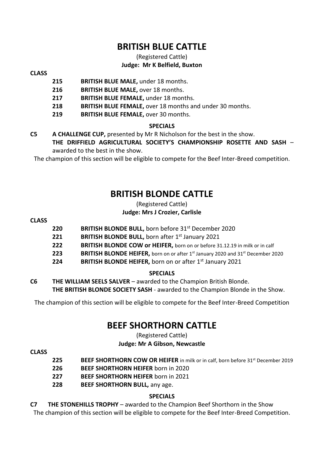## **BRITISH BLUE CATTLE**

#### (Registered Cattle) **Judge: Mr K Belfield, Buxton**

#### **CLASS**

- **215 BRITISH BLUE MALE,** under 18 months.
	- **216 BRITISH BLUE MALE,** over 18 months.
	- **217 BRITISH BLUE FEMALE,** under 18 months.
	- **218 BRITISH BLUE FEMALE,** over 18 months and under 30 months.
	- **219 BRITISH BLUE FEMALE,** over 30 months.

#### **SPECIALS**

**C5 A CHALLENGE CUP,** presented by Mr R Nicholson for the best in the show. **THE DRIFFIELD AGRICULTURAL SOCIETY'S CHAMPIONSHIP ROSETTE AND SASH** – awarded to the best in the show.

The champion of this section will be eligible to compete for the Beef Inter-Breed competition.

## **BRITISH BLONDE CATTLE**

#### (Registered Cattle) **Judge: Mrs J Crozier, Carlisle**

#### **CLASS**

- **220 BRITISH BLONDE BULL,** born before 31st December 2020
- **221 BRITISH BLONDE BULL,** born after 1<sup>st</sup> January 2021
- **222 BRITISH BLONDE COW or HEIFER,** born on or before 31.12.19 in milk or in calf
- **223 BRITISH BLONDE HEIFER,** born on or after 1<sup>st</sup> January 2020 and 31<sup>st</sup> December 2020
- **224 BRITISH BLONDE HEIFER,** born on or after 1<sup>st</sup> January 2021

#### **SPECIALS**

**C6 THE WILLIAM SEELS SALVER** – awarded to the Champion British Blonde. **THE BRITISH BLONDE SOCIETY SASH** - awarded to the Champion Blonde in the Show.

The champion of this section will be eligible to compete for the Beef Inter-Breed Competition

## **BEEF SHORTHORN CATTLE**

(Registered Cattle)

#### **Judge: Mr A Gibson, Newcastle**

#### **CLASS**

- **225 BEEF SHORTHORN COW OR HEIFER** in milk or in calf, born before 31st December 2019
- **226 BEEF SHORTHORN HEIFER** born in 2020
- **227 BEEF SHORTHORN HEIFER** born in 2021
- **228 BEEF SHORTHORN BULL,** any age.

#### **SPECIALS**

**C7 THE STONEHILLS TROPHY** – awarded to the Champion Beef Shorthorn in the Show

The champion of this section will be eligible to compete for the Beef Inter-Breed Competition.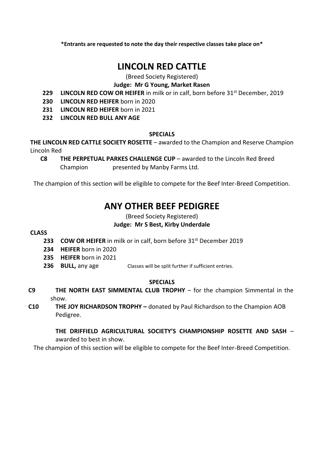## **LINCOLN RED CATTLE**

#### (Breed Society Registered)

#### **Judge: Mr G Young, Market Rasen**

- **229 LINCOLN RED COW OR HEIFER** in milk or in calf, born before 31st December, 2019
- **230 LINCOLN RED HEIFER** born in 2020
- **231 LINCOLN RED HEIFER** born in 2021
- **232 LINCOLN RED BULL ANY AGE**

#### **SPECIALS**

**THE LINCOLN RED CATTLE SOCIETY ROSETTE** – awarded to the Champion and Reserve Champion Lincoln Red

**C8 THE PERPETUAL PARKES CHALLENGE CUP** – awarded to the Lincoln Red Breed Champion presented by Manby Farms Ltd.

The champion of this section will be eligible to compete for the Beef Inter-Breed Competition.

## **ANY OTHER BEEF PEDIGREE**

(Breed Society Registered)

#### **Judge: Mr S Best, Kirby Underdale**

#### **CLASS**

- **233 COW OR HEIFER** in milk or in calf, born before 31st December 2019
- **234 HEIFER** born in 2020
- **235 HEIFER** born in 2021
- **236 BULL, any age Classes will be split further if sufficient entries.**

#### **SPECIALS**

- **C9 THE NORTH EAST SIMMENTAL CLUB TROPHY** for the champion Simmental in the show.
- **C10 THE JOY RICHARDSON TROPHY –** donated by Paul Richardson to the Champion AOB Pedigree.

**THE DRIFFIELD AGRICULTURAL SOCIETY'S CHAMPIONSHIP ROSETTE AND SASH** – awarded to best in show.

The champion of this section will be eligible to compete for the Beef Inter-Breed Competition.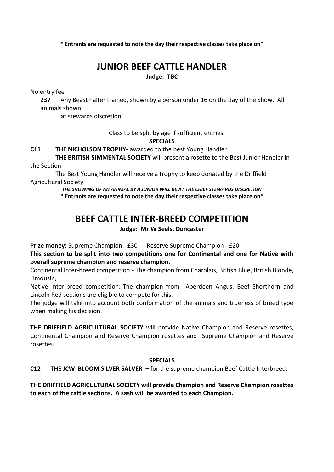# **JUNIOR BEEF CATTLE HANDLER**

**Judge: TBC**

No entry fee

**237** Any Beast halter trained, shown by a person under 16 on the day of the Show. All animals shown

at stewards discretion.

Class to be split by age if sufficient entries

#### **SPECIALS**

#### **C11 THE NICHOLSON TROPHY-** awarded to the best Young Handler

**THE BRITISH SIMMENTAL SOCIETY** will present a rosette to the Best Junior Handler in the Section.

The Best Young Handler will receive a trophy to keep donated by the Driffield Agricultural Society

> *THE SHOWING OF AN ANIMAL BY A JUNIOR WILL BE AT THE CHIEF STEWARDS DISCRETION* **\* Entrants are requested to note the day their respective classes take place on\***

## **BEEF CATTLE INTER-BREED COMPETITION**

#### **Judge: Mr W Seels, Doncaster**

**Prize money:** Supreme Champion - £30 Reserve Supreme Champion - £20

**This section to be split into two competitions one for Continental and one for Native with overall supreme champion and reserve champion.** 

Continental Inter-breed competition:- The champion from Charolais, British Blue, British Blonde, Limousin,

Native Inter-breed competition:-The champion from Aberdeen Angus, Beef Shorthorn and Lincoln Red sections are eligible to compete for this.

The judge will take into account both conformation of the animals and trueness of breed type when making his decision.

**THE DRIFFIELD AGRICULTURAL SOCIETY** will provide Native Champion and Reserve rosettes, Continental Champion and Reserve Champion rosettes and Supreme Champion and Reserve rosettes.

#### **SPECIALS**

**C12 THE JCW BLOOM SILVER SALVER –** for the supreme champion Beef Cattle Interbreed.

**THE DRIFFIELD AGRICULTURAL SOCIETY will provide Champion and Reserve Champion rosettes to each of the cattle sections. A sash will be awarded to each Champion.**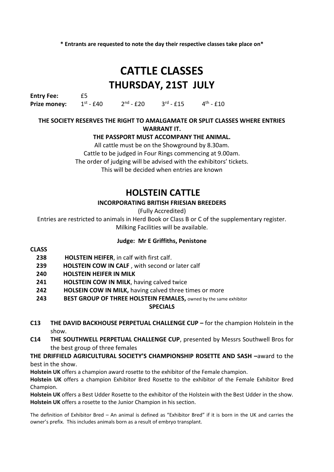# **CATTLE CLASSES THURSDAY, 21ST JULY**

**Entry Fee:** £5 **Prize money:**  $st - £40$  2 <sup>nd</sup> - £20 3  $rd - £15$  4 <sup>th</sup> -  $£10$ 

#### **THE SOCIETY RESERVES THE RIGHT TO AMALGAMATE OR SPLIT CLASSES WHERE ENTRIES WARRANT IT.**

#### **THE PASSPORT MUST ACCOMPANY THE ANIMAL.**

All cattle must be on the Showground by 8.30am. Cattle to be judged in Four Rings commencing at 9.00am. The order of judging will be advised with the exhibitors' tickets. This will be decided when entries are known

## **HOLSTEIN CATTLE**

#### **INCORPORATING BRITISH FRIESIAN BREEDERS**

(Fully Accredited)

Entries are restricted to animals in Herd Book or Class B or C of the supplementary register. Milking Facilities will be available.

#### **Judge: Mr E Griffiths, Penistone**

#### **CLASS**

- **238 HOLSTEIN HEIFER**, in calf with first calf.
- **239 HOLSTEIN COW IN CALF** , with second or later calf
- **240 HOLSTEIN HEIFER IN MILK**
- **241 HOLSTEIN COW IN MILK**, having calved twice
- **242 HOLSEIN COW IN MILK,** having calved three times or more
- 243 BEST GROUP OF THREE HOLSTEIN FEMALES, owned by the same exhibitor

#### **SPECIALS**

- **C13 THE DAVID BACKHOUSE PERPETUAL CHALLENGE CUP –** for the champion Holstein in the show.
- **C14 THE SOUTHWELL PERPETUAL CHALLENGE CUP**, presented by Messrs Southwell Bros for the best group of three females

**THE DRIFFIELD AGRICULTURAL SOCIETY'S CHAMPIONSHIP ROSETTE AND SASH –**award to the best in the show.

**Holstein UK** offers a champion award rosette to the exhibitor of the Female champion.

**Holstein UK** offers a champion Exhibitor Bred Rosette to the exhibitor of the Female Exhibitor Bred Champion.

**Holstein UK** offers a Best Udder Rosette to the exhibitor of the Holstein with the Best Udder in the show. **Holstein UK** offers a rosette to the Junior Champion in his section.

The definition of Exhibitor Bred – An animal is defined as "Exhibitor Bred" if it is born in the UK and carries the owner's prefix. This includes animals born as a result of embryo transplant.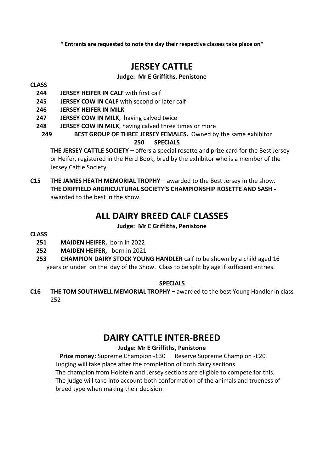## **JERSEY CATTLE**

#### **Judge: Mr E Griffiths, Penistone**

#### **CLASS**

- **244 JERSEY HEIFER IN CALF** with first calf
- **245 JERSEY COW IN CALF** with second or later calf
- **246 JERSEY HEIFER IN MILK**
- **247 JERSEY COW IN MILK**, having calved twice
- **248 JERSEY COW IN MILK**, having calved three times or more
	- **249 BEST GROUP OF THREE JERSEY FEMALES.** Owned by the same exhibitor

#### **250 SPECIALS**

**THE JERSEY CATTLE SOCIETY –** offers a special rosette and prize card for the Best Jersey or Heifer, registered in the Herd Book, bred by the exhibitor who is a member of the Jersey Cattle Society.

**C15 THE JAMES HEATH MEMORIAL TROPHY** – awarded to the Best Jersey in the show. **THE DRIFFIELD ARGRICULTURAL SOCIETY'S CHAMPIONSHIP ROSETTE AND SASH**  awarded to the best in the show.

## **ALL DAIRY BREED CALF CLASSES**

#### **Judge: Mr E Griffiths, Penistone**

#### **CLASS**

- **251 MAIDEN HEIFER,** born in 2022
- **252 MAIDEN HEIFER,** born in 2021
- **253 CHAMPION DAIRY STOCK YOUNG HANDLER** calf to be shown by a child aged 16 years or underon the day of the Show. Class to be split by age if sufficient entries.

#### **SPECIALS**

**C16 THE TOM SOUTHWELL MEMORIAL TROPHY –** awarded to the best Young Handler in class 252

## **DAIRY CATTLE INTER-BREED**

#### **Judge: Mr E Griffiths, Penistone**

**Prize money:** Supreme Champion -£30 Reserve Supreme Champion -£20 Judging will take place after the completion of both dairy sections. The champion from Holstein and Jersey sections are eligible to compete for this. The judge will take into account both conformation of the animals and trueness of breed type when making their decision.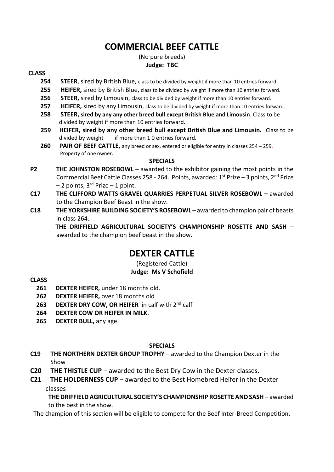## **COMMERCIAL BEEF CATTLE**

#### (No pure breeds) **Judge: TBC**

#### **CLASS**

- **254 STEER**, sired by British Blue, class to be divided by weight if more than 10 entries forward.
- **255 HEIFER,** sired by British Blue, class to be divided by weight if more than 10 entries forward.
- **256 STEER,** sired by Limousin, class to be divided by weight if more than 10 entries forward.
- **257 HEIFER,** sired by any Limousin, class to be divided by weight if more than 10 entries forward.
- **258 STEER, sired by any any other breed bull except British Blue and Limousin**. Class to be divided by weight if more than 10 entries forward.
- **259 HEIFER, sired by any other breed bull except British Blue and Limousin.** Class to be divided by weight if more than 1 0 entries forward.
- **260 PAIR OF BEEF CATTLE**, any breed or sex, entered or eligible for entry in classes 254 259. Property of one owner.

#### **SPECIALS**

- **P2 THE JOHNSTON ROSEBOWL** awarded to the exhibitor gaining the most points in the Commercial Beef Cattle Classes 258 - 264. Points, awarded:  $1<sup>st</sup> Prize - 3 points, 2<sup>nd</sup> Prize$  $-2$  points, 3<sup>rd</sup> Prize  $-1$  point.
- **C17 THE CLIFFORD WATTS GRAVEL QUARRIES PERPETUAL SILVER ROSEBOWL –** awarded to the Champion Beef Beast in the show.
- **C18 THE YORKSHIRE BUILDING SOCIETY'S ROSEBOWL** awarded to champion pair of beasts in class 264.

**THE DRIFFIELD AGRICULTURAL SOCIETY'S CHAMPIONSHIP ROSETTE AND SASH** – awarded to the champion beef beast in the show.

## **DEXTER CATTLE**

(Registered Cattle) **Judge: Ms V Schofield**

#### **CLASS**

- **261 DEXTER HEIFER,** under 18 months old.
- **262 DEXTER HEIFER,** over 18 months old
- **263 DEXTER DRY COW, OR HEIFER** in calf with 2nd calf
- **264 DEXTER COW OR HEIFER IN MILK**.
- **265 DEXTER BULL,** any age.

#### **SPECIALS**

- **C19 THE NORTHERN DEXTER GROUP TROPHY –** awarded to the Champion Dexter in the Show
- **C20 THE THISTLE CUP** awarded to the Best Dry Cow in the Dexter classes.
- **C21 THE HOLDERNESS CUP** awarded to the Best Homebred Heifer in the Dexter classes

**THE DRIFFIELD AGRICULTURAL SOCIETY'S CHAMPIONSHIP ROSETTE AND SASH** – awarded to the best in the show.

The champion of this section will be eligible to compete for the Beef Inter-Breed Competition.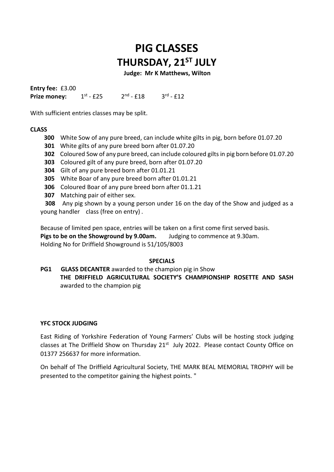# **PIG CLASSES THURSDAY, 21ST JULY**

 **Judge: Mr K Matthews, Wilton**

**Entry fee:** £3.00 **Prize money:**  $st - f25$  2 <sup>nd</sup> - £18 3 <sup>rd</sup> - £12

With sufficient entries classes may be split.

#### **CLASS**

- **300** White Sow of any pure breed, can include white gilts in pig, born before 01.07.20
- **301** White gilts of any pure breed born after 01.07.20
- **302** Coloured Sow of any pure breed, can include coloured gilts in pig born before 01.07.20
- **303** Coloured gilt of any pure breed, born after 01.07.20
- **304** Gilt of any pure breed born after 01.01.21
- **305** White Boar of any pure breed born after 01.01.21
- **306** Coloured Boar of any pure breed born after 01.1.21
- **307** Matching pair of either sex.

 **308** Any pig shown by a young person under 16 on the day of the Show and judged as a young handler class (free on entry) .

Because of limited pen space, entries will be taken on a first come first served basis. **Pigs to be on the Showground by 9.00am.** Judging to commence at 9.30am. Holding No for Driffield Showground is 51/105/8003

#### **SPECIALS**

**PG1 GLASS DECANTER** awarded to the champion pig in Show **THE DRIFFIELD AGRICULTURAL SOCIETY'S CHAMPIONSHIP ROSETTE AND SASH**  awarded to the champion pig

#### **YFC STOCK JUDGING**

East Riding of Yorkshire Federation of Young Farmers' Clubs will be hosting stock judging classes at The Driffield Show on Thursday 21<sup>st</sup> July 2022. Please contact County Office on 01377 256637 for more information.

On behalf of The Driffield Agricultural Society, THE MARK BEAL MEMORIAL TROPHY will be presented to the competitor gaining the highest points. "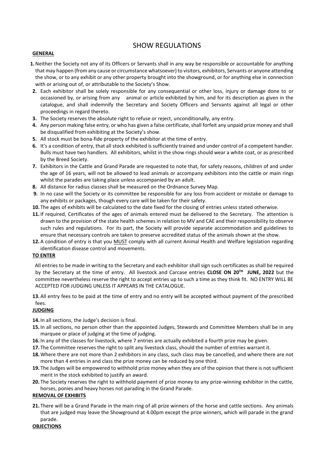#### SHOW REGULATIONS

#### **GENERAL**

- **1.**Neither the Society not any of its Officers or Servants shall in any way be responsible or accountable for anything that may happen (from any cause or circumstance whatsoever) to visitors, exhibitors, Servants or anyone attending the show, or to any exhibit or any other property brought into the showground, or for anything else in connection with or arising out of, or attributable to the Society's Show.
- **2.** Each exhibitor shall be solely responsible for any consequential or other loss, injury or damage done to or occasioned by, or arising from any animal or article exhibited by him, and for its description as given in the catalogue, and shall indemnify the Secretary and Society Officers and Servants against all legal or other proceedings in regard thereto.
- **3.** The Society reserves the absolute right to refuse or reject, unconditionally, any entry.
- **4.** Any person making false entry, or who has given a false certificate, shall forfeit any unpaid prize money and shall be disqualified from exhibiting at the Society's show.
- **5.** All stock must be bona-fide property of the exhibitor at the time of entry.
- **6.** It's a condition of entry, that all stock exhibited is sufficiently trained and under control of a competent handler. Bulls must have two handlers. All exhibitors, whilst in the show rings should wear a white coat, or as prescribed by the Breed Society.
- **7.** Exhibitors in the Cattle and Grand Parade are requested to note that, for safety reasons, children of and under the age of 16 years, will not be allowed to lead animals or accompany exhibitors into the cattle or main rings whilst the parades are taking place unless accompanied by an adult.
- **8.** All distance for radius classes shall be measured on the Ordnance Survey Map.
- **9.** In no case will the Society or its committee be responsible for any loss from accident or mistake or damage to any exhibits or packages, though every care will be taken for their safety.
- **10.** The ages of exhibits will be calculated to the date fixed for the closing of entries unless stated otherwise.
- **11.** If required, Certificates of the ages of animals entered must be delivered to the Secretary. The attention is drawn to the provision of the state health schemes in relation to MV and CAE and their responsibility to observe such rules and regulations. For its part, the Society will provide separate accommodation and guidelines to ensure that necessary controls are taken to preserve accredited status of the animals shown at the show.
- **12.** A condition of entry is that you MUST comply with all current Animal Health and Welfare legislation regarding identification disease control and movements.

#### **TO ENTER**

 All entries to be made in writing to the Secretary and each exhibitor shall sign such certificates as shall be required by the Secretary at the time of entry. All livestock and Carcase entries **CLOSE ON 20 TH JUNE, 2022** but the committee nevertheless reserve the right to accept entries up to such a time as they think fit. NO ENTRY WILL BE ACCEPTED FOR JUDGING UNLESS IT APPEARS IN THE CATALOGUE.

**13.** All entry fees to be paid at the time of entry and no entry will be accepted without payment of the prescribed fees.

#### **JUDGING**

**14.** In all sections, the Judge's decision is final.

- **15.** In all sections, no person other than the appointed Judges, Stewards and Committee Members shall be in any marquee or place of judging at the time of judging.
- **16.** In any of the classes for livestock, where 7 entries are actually exhibited a fourth prize may be given.
- **17.** The Committee reserves the right to split any livestock class, should the number of entries warrant it.
- **18.**Where there are not more than 2 exhibitors in any class, such class may be cancelled, and where there are not more than 4 entries in and class the prize money can be reduced by one third.
- **19.** The Judges will be empowered to withhold prize money when they are of the opinion that there is not sufficient merit in the stock exhibited to justify an award.
- **20.** The Society reserves the right to withhold payment of prize money to any prize-winning exhibitor in the cattle, horses, ponies and heavy horses not parading in the Grand Parade.

#### **REMOVAL OF EXHIBITS**

**21.** There will be a Grand Parade in the main ring of all prize winners of the horse and cattle sections. Any animals that are judged may leave the Showground at 4.00pm except the prize winners, which will parade in the grand parade.

#### **OBJECTIONS**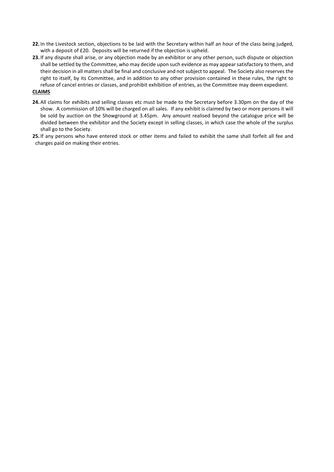- **22.** In the Livestock section, objections to be laid with the Secretary within half an hour of the class being judged, with a deposit of £20. Deposits will be returned if the objection is upheld.
- **23.** If any dispute shall arise, or any objection made by an exhibitor or any other person, such dispute or objection shall be settled by the Committee, who may decide upon such evidence as may appear satisfactory to them, and their decision in all matters shall be final and conclusive and not subject to appeal. The Society also reserves the right to itself, by its Committee, and in addition to any other provision contained in these rules, the right to refuse of cancel entries or classes, and prohibit exhibition of entries, as the Committee may deem expedient.

#### **CLAIMS**

- **24.** All claims for exhibits and selling classes etc must be made to the Secretary before 3.30pm on the day of the show. A commission of 10% will be charged on all sales. If any exhibit is claimed by two or more persons it will be sold by auction on the Showground at 3.45pm. Any amount realised beyond the catalogue price will be divided between the exhibitor and the Society except in selling classes, in which case the whole of the surplus shall go to the Society.
- **25.** If any persons who have entered stock or other items and failed to exhibit the same shall forfeit all fee and charges paid on making their entries.